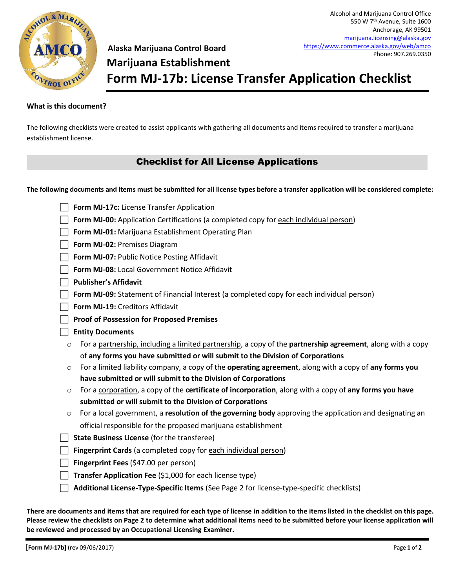

**Alaska Marijuana Control Board Marijuana Establishment Form MJ-17b: License Transfer Application Checklist** [marijuana.licensing@alaska.gov](mailto:marijuana.licensing@alaska.gov) <https://www.commerce.alaska.gov/web/amco> Phone: 907.269.0350

Alcohol and Marijuana Control Office 550 W 7th Avenue, Suite 1600 Anchorage, AK 99501

## **What is this document?**

The following checklists were created to assist applicants with gathering all documents and items required to transfer a marijuana establishment license.

# Checklist for All License Applications

**The following documents and items must be submitted for all license types before a transfer application will be considered complete:**

| Form MJ-17c: License Transfer Application                                                                                     |
|-------------------------------------------------------------------------------------------------------------------------------|
| Form MJ-00: Application Certifications (a completed copy for each individual person)                                          |
| Form MJ-01: Marijuana Establishment Operating Plan                                                                            |
| Form MJ-02: Premises Diagram                                                                                                  |
| Form MJ-07: Public Notice Posting Affidavit                                                                                   |
| Form MJ-08: Local Government Notice Affidavit                                                                                 |
| <b>Publisher's Affidavit</b>                                                                                                  |
| Form MJ-09: Statement of Financial Interest (a completed copy for each individual person)                                     |
| Form MJ-19: Creditors Affidavit                                                                                               |
| <b>Proof of Possession for Proposed Premises</b>                                                                              |
| <b>Entity Documents</b>                                                                                                       |
| For a partnership, including a limited partnership, a copy of the <b>partnership agreement</b> , along with a copy<br>$\circ$ |
| of any forms you have submitted or will submit to the Division of Corporations                                                |
| For a limited liability company, a copy of the operating agreement, along with a copy of any forms you<br>$\circ$             |
| have submitted or will submit to the Division of Corporations                                                                 |
| For a corporation, a copy of the <b>certificate of incorporation</b> , along with a copy of any forms you have<br>$\circ$     |
| submitted or will submit to the Division of Corporations                                                                      |
| For a local government, a resolution of the governing body approving the application and designating an<br>$\circ$            |
| official responsible for the proposed marijuana establishment                                                                 |
| <b>State Business License (for the transferee)</b>                                                                            |
| <b>Fingerprint Cards</b> (a completed copy for each individual person)                                                        |
| Fingerprint Fees (\$47.00 per person)                                                                                         |
| Transfer Application Fee (\$1,000 for each license type)                                                                      |
| Additional License-Type-Specific Items (See Page 2 for license-type-specific checklists)                                      |
|                                                                                                                               |

**There are documents and items that are required for each type of license in addition to the items listed in the checklist on this page. Please review the checklists on Page 2 to determine what additional items need to be submitted before your license application will be reviewed and processed by an Occupational Licensing Examiner.**